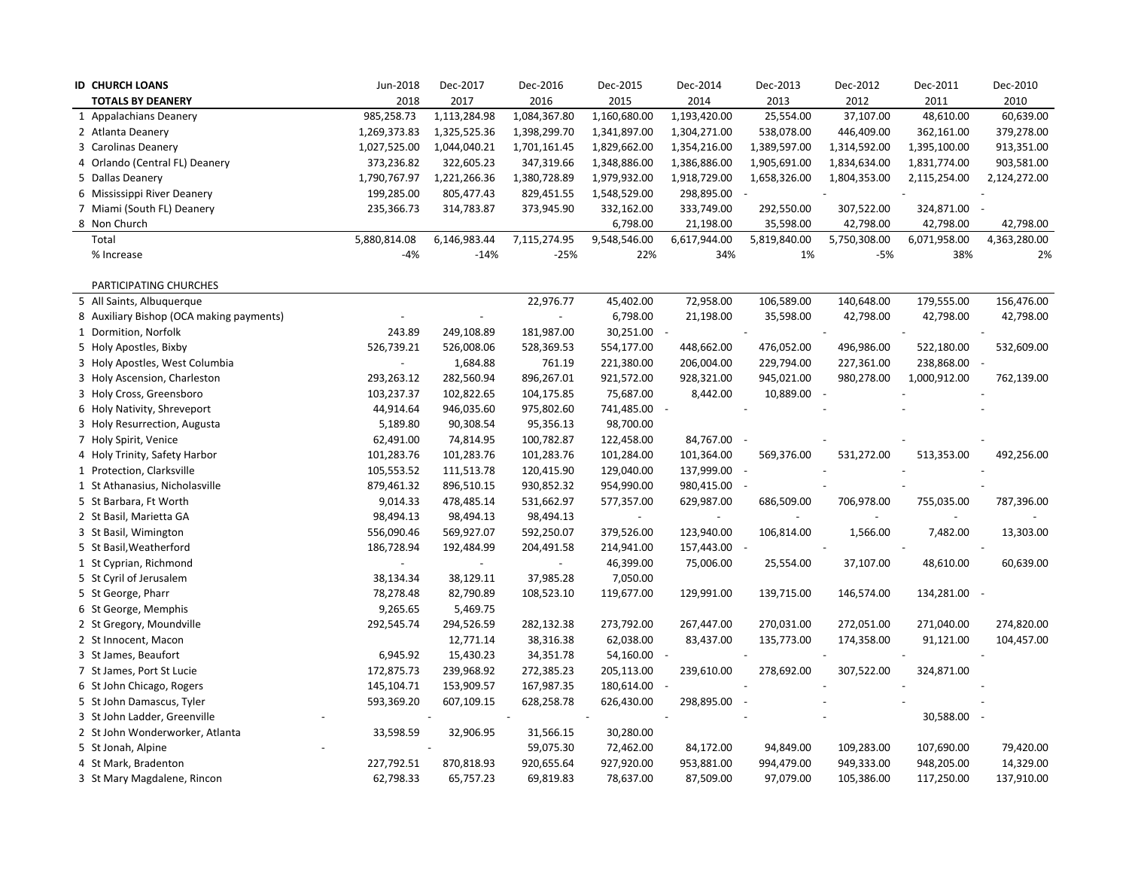|              | <b>ID CHURCH LOANS</b>                   | Jun-2018     | Dec-2017     | Dec-2016     | Dec-2015                 | Dec-2014                 | Dec-2013     | Dec-2012     | Dec-2011     | Dec-2010     |
|--------------|------------------------------------------|--------------|--------------|--------------|--------------------------|--------------------------|--------------|--------------|--------------|--------------|
|              | <b>TOTALS BY DEANERY</b>                 | 2018         | 2017         | 2016         | 2015                     | 2014                     | 2013         | 2012         | 2011         | 2010         |
|              | 1 Appalachians Deanery                   | 985,258.73   | 1,113,284.98 | 1,084,367.80 | 1,160,680.00             | 1,193,420.00             | 25,554.00    | 37,107.00    | 48,610.00    | 60,639.00    |
|              | 2 Atlanta Deanery                        | 1,269,373.83 | 1,325,525.36 | 1,398,299.70 | 1,341,897.00             | 1,304,271.00             | 538,078.00   | 446,409.00   | 362,161.00   | 379,278.00   |
|              | 3 Carolinas Deanery                      | 1,027,525.00 | 1,044,040.21 | 1,701,161.45 | 1,829,662.00             | 1,354,216.00             | 1,389,597.00 | 1,314,592.00 | 1,395,100.00 | 913,351.00   |
|              | 4 Orlando (Central FL) Deanery           | 373,236.82   | 322,605.23   | 347,319.66   | 1,348,886.00             | 1,386,886.00             | 1,905,691.00 | 1,834,634.00 | 1,831,774.00 | 903,581.00   |
|              | 5 Dallas Deanery                         | 1,790,767.97 | 1,221,266.36 | 1,380,728.89 | 1,979,932.00             | 1,918,729.00             | 1,658,326.00 | 1,804,353.00 | 2,115,254.00 | 2,124,272.00 |
|              | 6 Mississippi River Deanery              | 199,285.00   | 805,477.43   | 829,451.55   | 1,548,529.00             | 298,895.00               |              |              |              |              |
|              | 7 Miami (South FL) Deanery               | 235,366.73   | 314,783.87   | 373,945.90   | 332,162.00               | 333,749.00               | 292,550.00   | 307,522.00   | 324,871.00   |              |
| 8 Non Church |                                          |              |              |              | 6,798.00                 | 21,198.00                | 35,598.00    | 42,798.00    | 42,798.00    | 42,798.00    |
| Total        |                                          | 5,880,814.08 | 6,146,983.44 | 7,115,274.95 | 9,548,546.00             | 6,617,944.00             | 5,819,840.00 | 5,750,308.00 | 6,071,958.00 | 4,363,280.00 |
|              | % Increase                               | $-4%$        | $-14%$       | $-25%$       | 22%                      | 34%                      | 1%           | $-5%$        | 38%          | 2%           |
|              |                                          |              |              |              |                          |                          |              |              |              |              |
|              | PARTICIPATING CHURCHES                   |              |              |              |                          |                          |              |              |              |              |
|              | 5 All Saints, Albuquerque                |              |              | 22,976.77    | 45,402.00                | 72,958.00                | 106,589.00   | 140,648.00   | 179,555.00   | 156,476.00   |
|              | 8 Auxiliary Bishop (OCA making payments) |              |              |              | 6,798.00                 | 21,198.00                | 35,598.00    | 42,798.00    | 42,798.00    | 42,798.00    |
|              | 1 Dormition, Norfolk                     | 243.89       | 249,108.89   | 181,987.00   | 30,251.00                | $\sim$                   |              |              |              |              |
|              | 5 Holy Apostles, Bixby                   | 526,739.21   | 526,008.06   | 528,369.53   | 554,177.00               | 448,662.00               | 476,052.00   | 496,986.00   | 522,180.00   | 532,609.00   |
|              | 3 Holy Apostles, West Columbia           |              | 1,684.88     | 761.19       | 221,380.00               | 206,004.00               | 229,794.00   | 227,361.00   | 238,868.00 - |              |
|              | 3 Holy Ascension, Charleston             | 293,263.12   | 282,560.94   | 896,267.01   | 921,572.00               | 928,321.00               | 945,021.00   | 980,278.00   | 1,000,912.00 | 762,139.00   |
|              | 3 Holy Cross, Greensboro                 | 103,237.37   | 102,822.65   | 104,175.85   | 75,687.00                | 8,442.00                 | 10,889.00 -  |              |              |              |
|              | 6 Holy Nativity, Shreveport              | 44,914.64    | 946,035.60   | 975,802.60   | 741,485.00 -             |                          |              |              |              |              |
|              | 3 Holy Resurrection, Augusta             | 5,189.80     | 90,308.54    | 95,356.13    | 98,700.00                |                          |              |              |              |              |
|              | 7 Holy Spirit, Venice                    | 62,491.00    | 74,814.95    | 100,782.87   | 122,458.00               | 84,767.00 -              |              |              |              |              |
|              | 4 Holy Trinity, Safety Harbor            | 101,283.76   | 101,283.76   | 101,283.76   | 101,284.00               | 101,364.00               | 569,376.00   | 531,272.00   | 513,353.00   | 492,256.00   |
|              | 1 Protection, Clarksville                | 105,553.52   | 111,513.78   | 120,415.90   | 129,040.00               | 137,999.00               |              |              |              |              |
|              | 1 St Athanasius, Nicholasville           | 879,461.32   | 896,510.15   | 930,852.32   | 954,990.00               | 980,415.00               |              |              |              |              |
|              | 5 St Barbara, Ft Worth                   | 9,014.33     | 478,485.14   | 531,662.97   | 577,357.00               | 629,987.00               | 686,509.00   | 706,978.00   | 755,035.00   | 787,396.00   |
|              | 2 St Basil, Marietta GA                  | 98,494.13    | 98,494.13    | 98,494.13    | $\overline{\phantom{a}}$ | $\overline{\phantom{a}}$ |              |              |              |              |
|              | 3 St Basil, Wimington                    | 556,090.46   | 569,927.07   | 592,250.07   | 379,526.00               | 123,940.00               | 106,814.00   | 1,566.00     | 7,482.00     | 13,303.00    |
|              | 5 St Basil, Weatherford                  | 186,728.94   | 192,484.99   | 204,491.58   | 214,941.00               | 157,443.00               |              |              |              |              |
|              | 1 St Cyprian, Richmond                   |              |              |              | 46,399.00                | 75,006.00                | 25,554.00    | 37,107.00    | 48,610.00    | 60,639.00    |
|              | 5 St Cyril of Jerusalem                  | 38,134.34    | 38,129.11    | 37,985.28    | 7,050.00                 |                          |              |              |              |              |
|              | 5 St George, Pharr                       | 78,278.48    | 82,790.89    | 108,523.10   | 119,677.00               | 129,991.00               | 139,715.00   | 146,574.00   | 134,281.00 - |              |
|              | 6 St George, Memphis                     | 9,265.65     | 5,469.75     |              |                          |                          |              |              |              |              |
|              | 2 St Gregory, Moundville                 | 292,545.74   | 294,526.59   | 282,132.38   | 273,792.00               | 267,447.00               | 270,031.00   | 272,051.00   | 271,040.00   | 274,820.00   |
|              | 2 St Innocent, Macon                     |              | 12,771.14    | 38,316.38    | 62,038.00                | 83,437.00                | 135,773.00   | 174,358.00   | 91,121.00    | 104,457.00   |
|              | 3 St James, Beaufort                     | 6,945.92     | 15,430.23    | 34,351.78    | 54,160.00 -              |                          |              |              |              |              |
|              | 7 St James, Port St Lucie                | 172,875.73   | 239,968.92   | 272,385.23   | 205,113.00               | 239,610.00               | 278,692.00   | 307,522.00   | 324,871.00   |              |
|              | 6 St John Chicago, Rogers                | 145,104.71   | 153,909.57   | 167,987.35   | 180,614.00 -             |                          |              |              |              |              |
|              | 5 St John Damascus, Tyler                | 593,369.20   | 607,109.15   | 628,258.78   | 626,430.00               | 298,895.00               |              |              |              |              |
|              | 3 St John Ladder, Greenville             |              |              |              |                          |                          |              |              | 30,588.00    |              |
|              | 2 St John Wonderworker, Atlanta          | 33,598.59    | 32,906.95    | 31,566.15    | 30,280.00                |                          |              |              |              |              |
|              | 5 St Jonah, Alpine                       |              |              | 59,075.30    | 72,462.00                | 84,172.00                | 94,849.00    | 109,283.00   | 107,690.00   | 79,420.00    |
|              | 4 St Mark, Bradenton                     | 227,792.51   | 870,818.93   | 920,655.64   | 927,920.00               | 953,881.00               | 994,479.00   | 949,333.00   | 948,205.00   | 14,329.00    |
|              | 3 St Mary Magdalene, Rincon              | 62,798.33    | 65,757.23    | 69,819.83    | 78,637.00                | 87,509.00                | 97,079.00    | 105,386.00   | 117,250.00   | 137,910.00   |